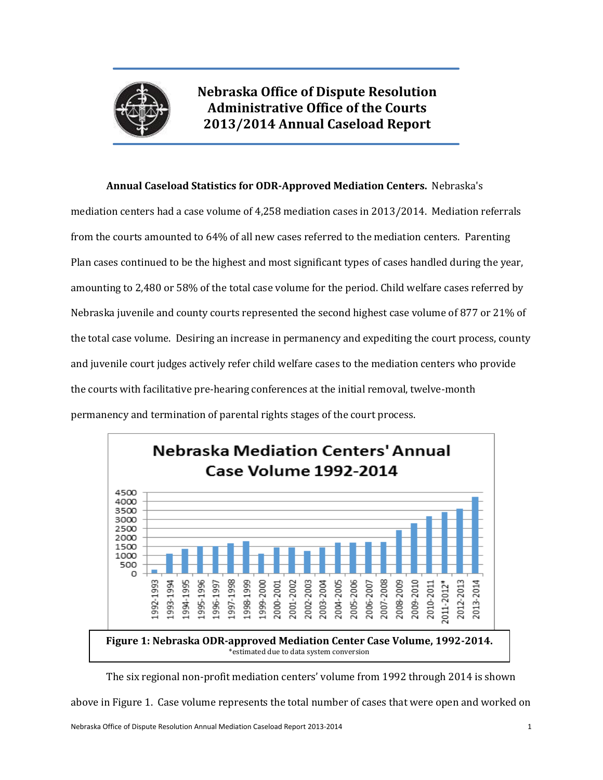

**Nebraska Office of Dispute Resolution Administrative Office of the Courts 2013/2014 Annual Caseload Report**

### **Annual Caseload Statistics for ODR-Approved Mediation Centers.** Nebraska's

mediation centers had a case volume of 4,258 mediation cases in 2013/2014. Mediation referrals from the courts amounted to 64% of all new cases referred to the mediation centers. Parenting Plan cases continued to be the highest and most significant types of cases handled during the year, amounting to 2,480 or 58% of the total case volume for the period. Child welfare cases referred by Nebraska juvenile and county courts represented the second highest case volume of 877 or 21% of the total case volume. Desiring an increase in permanency and expediting the court process, county and juvenile court judges actively refer child welfare cases to the mediation centers who provide the courts with facilitative pre-hearing conferences at the initial removal, twelve-month permanency and termination of parental rights stages of the court process.



The six regional non-profit mediation centers' volume from 1992 through 2014 is shown

above in Figure 1. Case volume represents the total number of cases that were open and worked on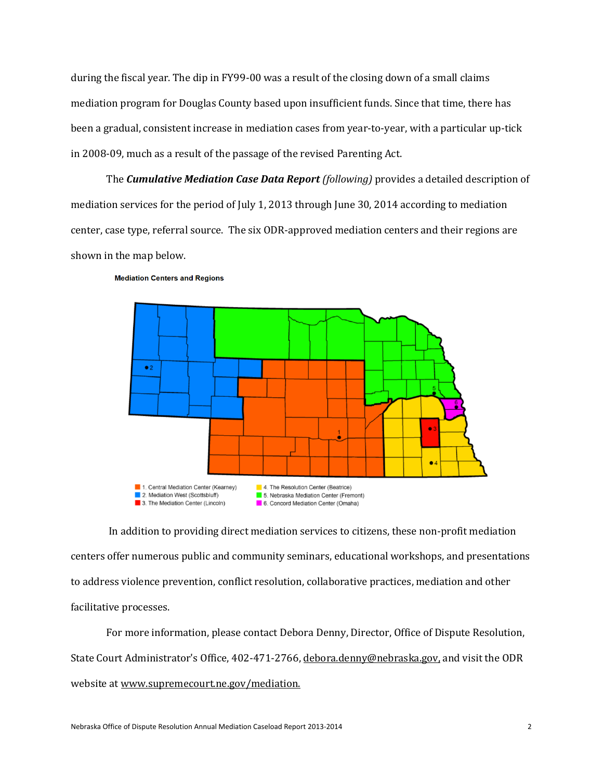during the fiscal year. The dip in FY99-00 was a result of the closing down of a small claims mediation program for Douglas County based upon insufficient funds. Since that time, there has been a gradual, consistent increase in mediation cases from year-to-year, with a particular up-tick in 2008-09, much as a result of the passage of the revised Parenting Act.

The *Cumulative Mediation Case Data Report (following)* provides a detailed description of mediation services for the period of July 1, 2013 through June 30, 2014 according to mediation center, case type, referral source. The six ODR-approved mediation centers and their regions are shown in the map below.



#### **Mediation Centers and Regions**

In addition to providing direct mediation services to citizens, these non-profit mediation centers offer numerous public and community seminars, educational workshops, and presentations to address violence prevention, conflict resolution, collaborative practices, mediation and other facilitative processes.

For more information, please contact Debora Denny, Director, Office of Dispute Resolution, State Court Administrator's Office, 402-471-2766, [debora.denny@ne](mailto:debora.denny@n)braska.gov, and visit the ODR website a[t www.supremecourt.ne.gov/mediation.](http://www.supremecourt.ne.gov/mediation)